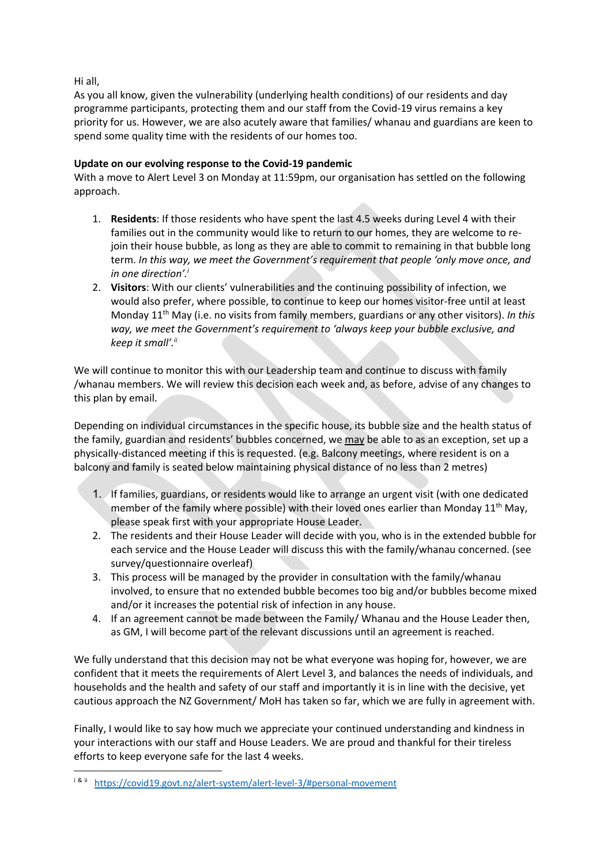Hi all,

As you all know, given the vulnerability (underlying health conditions) of our residents and day programme participants, protecting them and our staff from the Covid-19 virus remains a key priority for us. However, we are also acutely aware that families/ whanau and guardians are keen to spend some quality time with the residents of our homes too.

## **Update on our evolving response to the Covid-19 pandemic**

With a move to Alert Level 3 on Monday at 11:59pm, our organisation has settled on the following approach.

- 1. **Residents**: If those residents who have spent the last 4.5 weeks during Level 4 with their families out in the community would like to return to our homes, they are welcome to rejoin their house bubble, as long as they are able to commit to remaining in that bubble long term. *In this way, we meet the Government's requirement that people 'only move once, and in one direction'. i*
- 2. **Visitors**: With our clients' vulnerabilities and the continuing possibility of infection, we would also prefer, where possible, to continue to keep our homes visitor-free until at least Monday 11th May (i.e. no visits from family members, guardians or any other visitors). *In this way, we meet the Government's requirement to 'always keep your bubble exclusive, and keep it small'.ii*

We will continue to monitor this with our Leadership team and continue to discuss with family /whanau members. We will review this decision each week and, as before, advise of any changes to this plan by email.

Depending on individual circumstances in the specific house, its bubble size and the health status of the family, guardian and residents' bubbles concerned, we may be able to as an exception, set up a physically-distanced meeting if this is requested. (e.g. Balcony meetings, where resident is on a balcony and family is seated below maintaining physical distance of no less than 2 metres)

- 1. If families, guardians, or residents would like to arrange an urgent visit (with one dedicated member of the family where possible) with their loved ones earlier than Monday  $11<sup>th</sup>$  May, please speak first with your appropriate House Leader.
- 2. The residents and their House Leader will decide with you, who is in the extended bubble for each service and the House Leader will discuss this with the family/whanau concerned. (see survey/questionnaire overleaf)
- 3. This process will be managed by the provider in consultation with the family/whanau involved, to ensure that no extended bubble becomes too big and/or bubbles become mixed and/or it increases the potential risk of infection in any house.
- 4. If an agreement cannot be made between the Family/ Whanau and the House Leader then, as GM, I will become part of the relevant discussions until an agreement is reached.

We fully understand that this decision may not be what everyone was hoping for, however, we are confident that it meets the requirements of Alert Level 3, and balances the needs of individuals, and households and the health and safety of our staff and importantly it is in line with the decisive, yet cautious approach the NZ Government/ MoH has taken so far, which we are fully in agreement with.

Finally, I would like to say how much we appreciate your continued understanding and kindness in your interactions with our staff and House Leaders. We are proud and thankful for their tireless efforts to keep everyone safe for the last 4 weeks.

i & ii https://covid19.govt.nz/alert-system/alert-level-3/#personal-movement